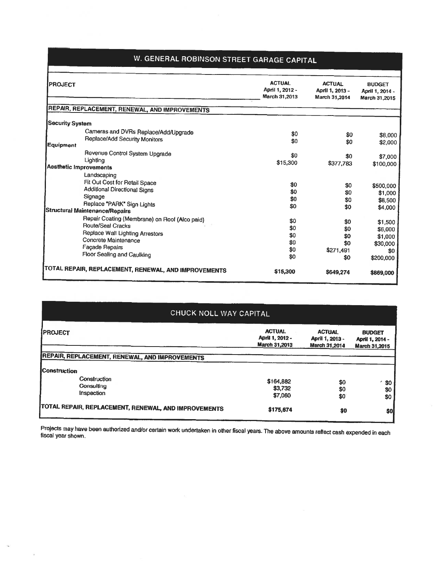## W. GENERAL ROBINSON STREET GARAGE CAPITAL

|                        | W. GENERAL ROBINSON STREET GARAGE CAPITAL                             |                                                   |                                                   |                                                   |
|------------------------|-----------------------------------------------------------------------|---------------------------------------------------|---------------------------------------------------|---------------------------------------------------|
| <b>PROJECT</b>         |                                                                       | <b>ACTUAL</b><br>April 1, 2012 -<br>March 31,2013 | <b>ACTUAL</b><br>April 1, 2013 -<br>March 31,2014 | <b>BUDGET</b><br>April 1, 2014 -<br>March 31,2015 |
|                        | REPAIR, REPLACEMENT, RENEWAL, AND IMPROVEMENTS                        |                                                   |                                                   |                                                   |
| <b>Security System</b> |                                                                       |                                                   |                                                   |                                                   |
|                        | Cameras and DVRs Replace/Add/Upgrade<br>Replace/Add Security Monitors | \$0<br>\$0                                        | \$0<br>\$0                                        | \$8,000                                           |
| <b>Equipment</b>       |                                                                       |                                                   |                                                   | \$2,000                                           |
|                        | Revenue Control System Upgrade                                        | \$0                                               | \$0                                               | \$7,000                                           |
|                        | Lighting                                                              | \$15,300                                          | \$377,783                                         | \$100,000                                         |
| Aesthetic Improvements |                                                                       |                                                   |                                                   |                                                   |
|                        | Landscaping<br>Fit Out Cost for Retail Space                          |                                                   |                                                   |                                                   |
|                        | <b>Additional Directional Signs</b>                                   | \$0                                               | \$0                                               | \$500,000                                         |
|                        | Signage                                                               | \$0                                               | \$0                                               | \$1,000                                           |
|                        | Replace "PARK" Sign Lights                                            | \$0<br>\$0                                        | \$0                                               | \$8,500                                           |
|                        | <b>Structural Maintenance/Repairs</b>                                 |                                                   | \$0                                               | \$4,000                                           |
|                        | Repair Coating (Membrane) on Roof (Alco paid)                         | \$0                                               | \$0                                               | \$1,500                                           |
|                        | <b>Route/Seal Cracks</b>                                              | \$0                                               | \$0                                               | \$6,000                                           |
|                        | Replace Wall Lighting Arrestors                                       | \$0                                               | \$0                                               | \$1,000                                           |
|                        | Concrete Maintenance                                                  | \$0                                               | \$0                                               | \$30,000                                          |
|                        | Façade Repairs                                                        | \$0                                               | \$271,491                                         | \$0                                               |
|                        | Floor Sealing and Caulking                                            | \$0                                               | \$0                                               | \$200,000                                         |
|                        | TOTAL REPAIR, REPLACEMENT, RENEWAL, AND IMPROVEMENTS                  | \$15,300                                          | \$649,274                                         | \$869,000                                         |

| CHUCK NOLL WAY CAPITAL                               |                                                   |                                                   |                                                   |  |  |  |
|------------------------------------------------------|---------------------------------------------------|---------------------------------------------------|---------------------------------------------------|--|--|--|
| <b>PROJECT</b>                                       | <b>ACTUAL</b><br>April 1, 2012 -<br>March 31,2013 | <b>ACTUAL</b><br>April 1, 2013 -<br>March 31,2014 | <b>BUDGET</b><br>April 1, 2014 -<br>March 31,2015 |  |  |  |
| REPAIR, REPLACEMENT, RENEWAL, AND IMPROVEMENTS       |                                                   |                                                   |                                                   |  |  |  |
| <b>Construction</b>                                  |                                                   |                                                   |                                                   |  |  |  |
| Construction<br>Consulting<br>Inspection             | \$164,882<br>\$3,732                              | \$0<br>\$0                                        | \$0<br>\$0                                        |  |  |  |
|                                                      | \$7,060                                           | \$0                                               | \$0                                               |  |  |  |
| TOTAL REPAIR, REPLACEMENT, RENEWAL, AND IMPROVEMENTS | \$175,674                                         | \$0                                               | \$0                                               |  |  |  |

Projects may have been authorized and/or certain work undertaken in other fiscal years. The above amounts reflect cash expended in each<br>fiscal year shown.

 $\mathcal{L}$ 

 $\widehat{\alpha}$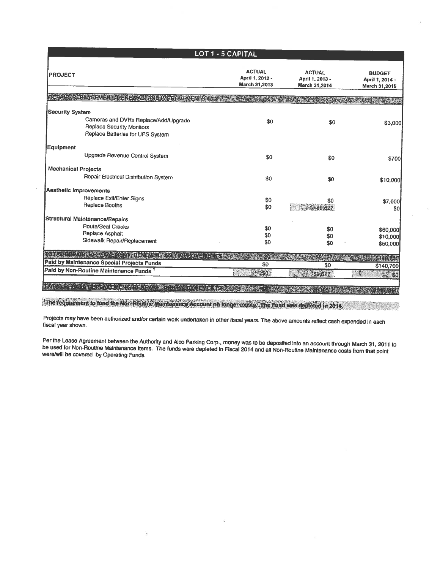| LOT 1 - 5 CAPITAL                          |                                                                                                              |                                                   |                                                   |                                                   |  |
|--------------------------------------------|--------------------------------------------------------------------------------------------------------------|---------------------------------------------------|---------------------------------------------------|---------------------------------------------------|--|
| <b>PROJECT</b>                             |                                                                                                              | <b>ACTUAL</b><br>April 1, 2012 -<br>March 31,2013 | <b>ACTUAL</b><br>April 1, 2013 -<br>March 31,2014 | <b>BUDGET</b><br>April 1, 2014 -<br>March 31,2015 |  |
|                                            | REMIRABE IN GENEVICE NEWSFAND MARIOUSE                                                                       |                                                   |                                                   |                                                   |  |
|                                            |                                                                                                              |                                                   |                                                   |                                                   |  |
| <b>Security System</b>                     | Cameras and DVRs Replace/Add/Upgrade<br><b>Replace Security Monitors</b><br>Replace Batteries for UPS System | \$0                                               | \$0                                               | \$3,000                                           |  |
| <b>Equipment</b>                           |                                                                                                              |                                                   |                                                   |                                                   |  |
|                                            | Upgrade Revenue Control System                                                                               | \$0                                               | \$0                                               | \$700                                             |  |
| <b>Mechanical Projects</b>                 |                                                                                                              |                                                   |                                                   |                                                   |  |
|                                            | Repair Electrical Distribution System                                                                        | \$0                                               | \$0                                               | \$10,000                                          |  |
| Aesthetic Improvements                     |                                                                                                              |                                                   |                                                   |                                                   |  |
|                                            | Replace Exit/Enter Signs                                                                                     | \$0                                               | \$0                                               | \$7,000                                           |  |
|                                            | Replace Booths                                                                                               | \$0                                               | 39,627                                            | \$0                                               |  |
|                                            | <b>Structural Maintenance/Repairs</b>                                                                        |                                                   |                                                   |                                                   |  |
|                                            | <b>Route/Seal Cracks</b>                                                                                     | \$0                                               | \$0                                               | \$60,000                                          |  |
|                                            | Replace Asphalt                                                                                              | \$0                                               | \$0                                               | \$10,000                                          |  |
|                                            | Sidewalk Repair/Replacement                                                                                  | \$0                                               | \$0                                               | \$50,000                                          |  |
|                                            | A LEARNING AND THE MANAGEMENT OF CALIFORNIA                                                                  |                                                   |                                                   |                                                   |  |
| Paid by Maintenance Special Projects Funds |                                                                                                              | \$0                                               | \$0                                               | \$140,700                                         |  |
| Paid by Non-Routine Maintenance Funds      |                                                                                                              | \$6                                               | \$9,627                                           | <b>1944 80</b>                                    |  |
|                                            |                                                                                                              |                                                   |                                                   |                                                   |  |
|                                            |                                                                                                              |                                                   |                                                   |                                                   |  |

The requirement to fund the Non-Routine Maintenance Account no longer exists. The Fund was depleted in 2014,

Projects may have been authorized and/or certain work undertaken in other fiscal years. The above amounts reflect cash expended In each<br>fiscal year shown.

Per the Lease Agreement between the Authority and Alco Parking Corp., money was to be deposited into an account through March 31, 2011 to<br>be used for Non-Routine Maintenance Items. The funds were depleted in Fiscal 2014 an